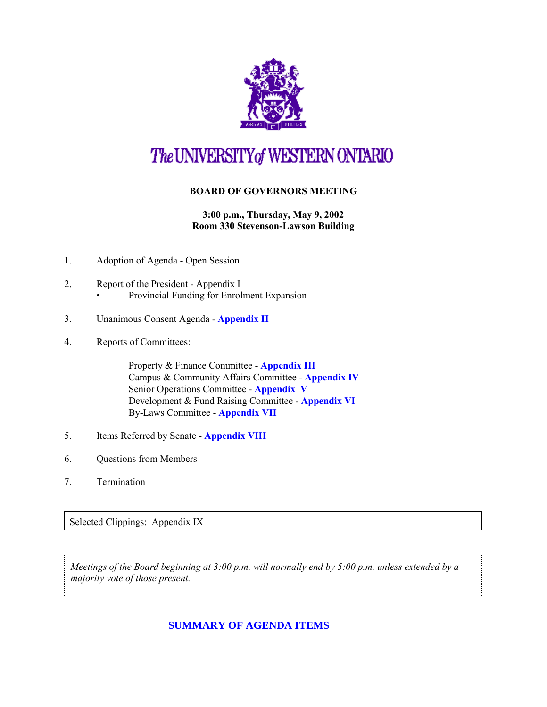

## The UNIVERSITY of WESTERN ONTARIO

## **BOARD OF GOVERNORS MEETING**

**3:00 p.m., Thursday, May 9, 2002 Room 330 Stevenson-Lawson Building**

- 1. Adoption of Agenda Open Session
- 2. Report of the President Appendix I • Provincial Funding for Enrolment Expansion
- 3. Unanimous Consent Agenda **[Appendix II](http://www.uwo.ca/univsec/board/minutes/2002/r0205consent.pdf)**
- 4. Reports of Committees:

Property & Finance Committee - **[Appendix III](http://www.uwo.ca/univsec/board/minutes/2002/r0205pf.pdf)** Campus & Community Affairs Committee - **[Appendix IV](http://www.uwo.ca/univsec/board/minutes/2002/r0205ccac.pdf)** Senior Operations Committee - **[Appendix V](http://www.uwo.ca/univsec/board/minutes/2002/r0205srops.pdf)** Development & Fund Raising Committee - **[Appendix VI](http://www.uwo.ca/univsec/board/minutes/2002/r0205dev.pdf)** By-Laws Committee - **[Appendix VII](http://www.uwo.ca/univsec/board/minutes/2002/r0205byl.pdf)**

- 5. Items Referred by Senate **[Appendix VIII](http://www.uwo.ca/univsec/board/minutes/2002/r0205sen.pdf)**
- 6. Questions from Members
- 7. Termination

## Selected Clippings: Appendix IX

*Meetings of the Board beginning at 3:00 p.m. will normally end by 5:00 p.m. unless extended by a majority vote of those present.*

**[SUMMARY OF AGENDA ITEMS](#page-1-0)**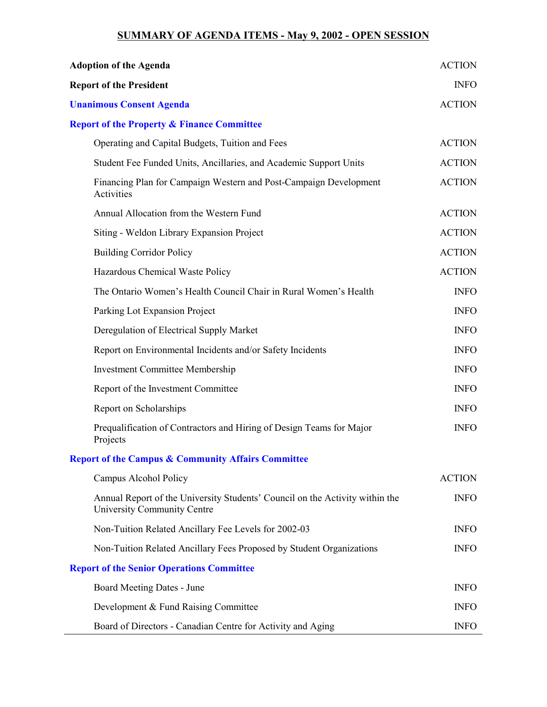## **SUMMARY OF AGENDA ITEMS - May 9, 2002 - OPEN SESSION**

<span id="page-1-0"></span>

| <b>Adoption of the Agenda</b>                                                                               | <b>ACTION</b> |
|-------------------------------------------------------------------------------------------------------------|---------------|
| <b>Report of the President</b>                                                                              | <b>INFO</b>   |
| <b>Unanimous Consent Agenda</b>                                                                             | <b>ACTION</b> |
| <b>Report of the Property &amp; Finance Committee</b>                                                       |               |
| Operating and Capital Budgets, Tuition and Fees                                                             | <b>ACTION</b> |
| Student Fee Funded Units, Ancillaries, and Academic Support Units                                           | <b>ACTION</b> |
| Financing Plan for Campaign Western and Post-Campaign Development<br>Activities                             | <b>ACTION</b> |
| Annual Allocation from the Western Fund                                                                     | <b>ACTION</b> |
| Siting - Weldon Library Expansion Project                                                                   | <b>ACTION</b> |
| <b>Building Corridor Policy</b>                                                                             | <b>ACTION</b> |
| Hazardous Chemical Waste Policy                                                                             | <b>ACTION</b> |
| The Ontario Women's Health Council Chair in Rural Women's Health                                            | <b>INFO</b>   |
| Parking Lot Expansion Project                                                                               | <b>INFO</b>   |
| Deregulation of Electrical Supply Market                                                                    | <b>INFO</b>   |
| Report on Environmental Incidents and/or Safety Incidents                                                   | <b>INFO</b>   |
| <b>Investment Committee Membership</b>                                                                      | <b>INFO</b>   |
| Report of the Investment Committee                                                                          | <b>INFO</b>   |
| Report on Scholarships                                                                                      | <b>INFO</b>   |
| Prequalification of Contractors and Hiring of Design Teams for Major<br>Projects                            | <b>INFO</b>   |
| <b>Report of the Campus &amp; Community Affairs Committee</b>                                               |               |
| Campus Alcohol Policy                                                                                       | <b>ACTION</b> |
| Annual Report of the University Students' Council on the Activity within the<br>University Community Centre | <b>INFO</b>   |
| Non-Tuition Related Ancillary Fee Levels for 2002-03                                                        | <b>INFO</b>   |
| Non-Tuition Related Ancillary Fees Proposed by Student Organizations                                        | <b>INFO</b>   |
| <b>Report of the Senior Operations Committee</b>                                                            |               |
| Board Meeting Dates - June                                                                                  | <b>INFO</b>   |
| Development & Fund Raising Committee                                                                        | <b>INFO</b>   |
| Board of Directors - Canadian Centre for Activity and Aging                                                 | <b>INFO</b>   |